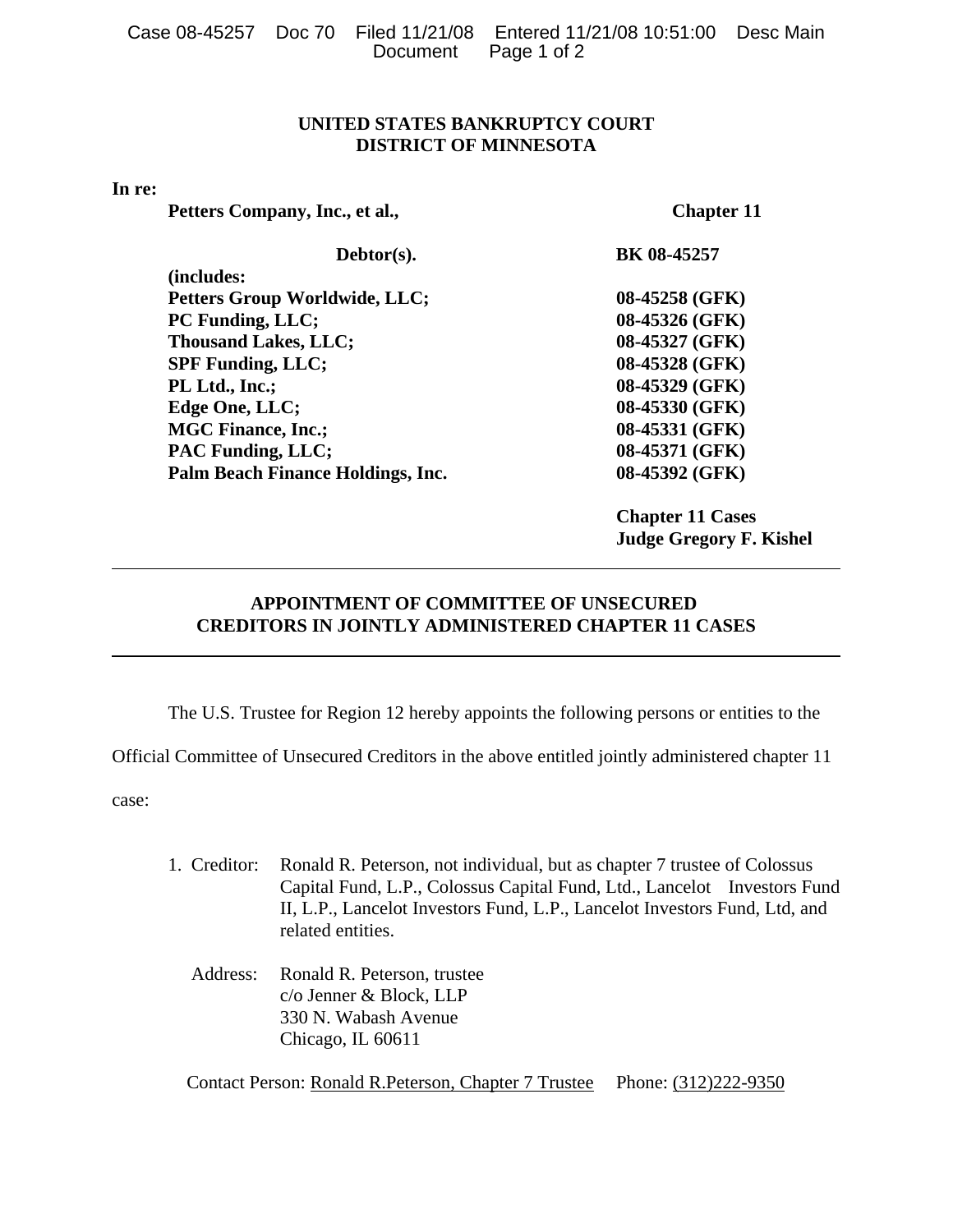|  |                      | Case 08-45257 Doc 70 Filed 11/21/08 Entered 11/21/08 10:51:00 Desc Main |  |
|--|----------------------|-------------------------------------------------------------------------|--|
|  | Document Page 1 of 2 |                                                                         |  |

## **UNITED STATES BANKRUPTCY COURT DISTRICT OF MINNESOTA**

## **In re:**

Petters Company, Inc., et al., Chapter 11

| Debtor(s).                           | BK 08-45257    |
|--------------------------------------|----------------|
| (includes:                           |                |
| <b>Petters Group Worldwide, LLC;</b> | 08-45258 (GFK) |
| PC Funding, LLC;                     | 08-45326 (GFK) |
| <b>Thousand Lakes, LLC;</b>          | 08-45327 (GFK) |
| <b>SPF Funding, LLC;</b>             | 08-45328 (GFK) |
| PL Ltd., Inc.;                       | 08-45329 (GFK) |
| Edge One, LLC;                       | 08-45330 (GFK) |
| <b>MGC Finance, Inc.;</b>            | 08-45331 (GFK) |
| <b>PAC Funding, LLC;</b>             | 08-45371 (GFK) |
| Palm Beach Finance Holdings, Inc.    | 08-45392 (GFK) |
|                                      |                |

**Chapter 11 Cases Judge Gregory F. Kishel**

## **APPOINTMENT OF COMMITTEE OF UNSECURED CREDITORS IN JOINTLY ADMINISTERED CHAPTER 11 CASES**

The U.S. Trustee for Region 12 hereby appoints the following persons or entities to the

Official Committee of Unsecured Creditors in the above entitled jointly administered chapter 11

case:

- 1. Creditor: Ronald R. Peterson, not individual, but as chapter 7 trustee of Colossus Capital Fund, L.P., Colossus Capital Fund, Ltd., Lancelot Investors Fund II, L.P., Lancelot Investors Fund, L.P., Lancelot Investors Fund, Ltd, and related entities.
	- Address: Ronald R. Peterson, trustee c/o Jenner & Block, LLP 330 N. Wabash Avenue Chicago, IL 60611

Contact Person: Ronald R.Peterson, Chapter 7 Trustee Phone: (312)222-9350